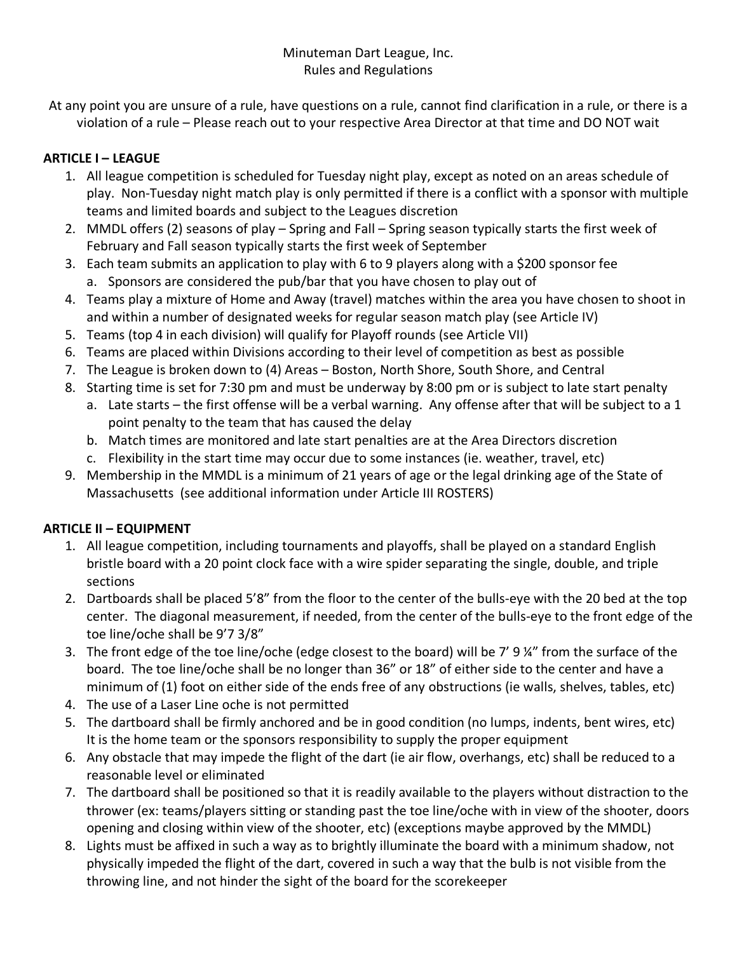## Minuteman Dart League, Inc. Rules and Regulations

At any point you are unsure of a rule, have questions on a rule, cannot find clarification in a rule, or there is a violation of a rule – Please reach out to your respective Area Director at that time and DO NOT wait

# **ARTICLE I – LEAGUE**

- 1. All league competition is scheduled for Tuesday night play, except as noted on an areas schedule of play. Non-Tuesday night match play is only permitted if there is a conflict with a sponsor with multiple teams and limited boards and subject to the Leagues discretion
- 2. MMDL offers (2) seasons of play Spring and Fall Spring season typically starts the first week of February and Fall season typically starts the first week of September
- 3. Each team submits an application to play with 6 to 9 players along with a \$200 sponsor fee a. Sponsors are considered the pub/bar that you have chosen to play out of
- 4. Teams play a mixture of Home and Away (travel) matches within the area you have chosen to shoot in and within a number of designated weeks for regular season match play (see Article IV)
- 5. Teams (top 4 in each division) will qualify for Playoff rounds (see Article VII)
- 6. Teams are placed within Divisions according to their level of competition as best as possible
- 7. The League is broken down to (4) Areas Boston, North Shore, South Shore, and Central
- 8. Starting time is set for 7:30 pm and must be underway by 8:00 pm or is subject to late start penalty
	- a. Late starts the first offense will be a verbal warning. Any offense after that will be subject to a 1 point penalty to the team that has caused the delay
	- b. Match times are monitored and late start penalties are at the Area Directors discretion
	- c. Flexibility in the start time may occur due to some instances (ie. weather, travel, etc)
- 9. Membership in the MMDL is a minimum of 21 years of age or the legal drinking age of the State of Massachusetts (see additional information under Article III ROSTERS)

# **ARTICLE II – EQUIPMENT**

- 1. All league competition, including tournaments and playoffs, shall be played on a standard English bristle board with a 20 point clock face with a wire spider separating the single, double, and triple sections
- 2. Dartboards shall be placed 5'8" from the floor to the center of the bulls-eye with the 20 bed at the top center. The diagonal measurement, if needed, from the center of the bulls-eye to the front edge of the toe line/oche shall be 9'7 3/8"
- 3. The front edge of the toe line/oche (edge closest to the board) will be 7' 9 ¼" from the surface of the board. The toe line/oche shall be no longer than 36" or 18" of either side to the center and have a minimum of (1) foot on either side of the ends free of any obstructions (ie walls, shelves, tables, etc)
- 4. The use of a Laser Line oche is not permitted
- 5. The dartboard shall be firmly anchored and be in good condition (no lumps, indents, bent wires, etc) It is the home team or the sponsors responsibility to supply the proper equipment
- 6. Any obstacle that may impede the flight of the dart (ie air flow, overhangs, etc) shall be reduced to a reasonable level or eliminated
- 7. The dartboard shall be positioned so that it is readily available to the players without distraction to the thrower (ex: teams/players sitting or standing past the toe line/oche with in view of the shooter, doors opening and closing within view of the shooter, etc) (exceptions maybe approved by the MMDL)
- 8. Lights must be affixed in such a way as to brightly illuminate the board with a minimum shadow, not physically impeded the flight of the dart, covered in such a way that the bulb is not visible from the throwing line, and not hinder the sight of the board for the scorekeeper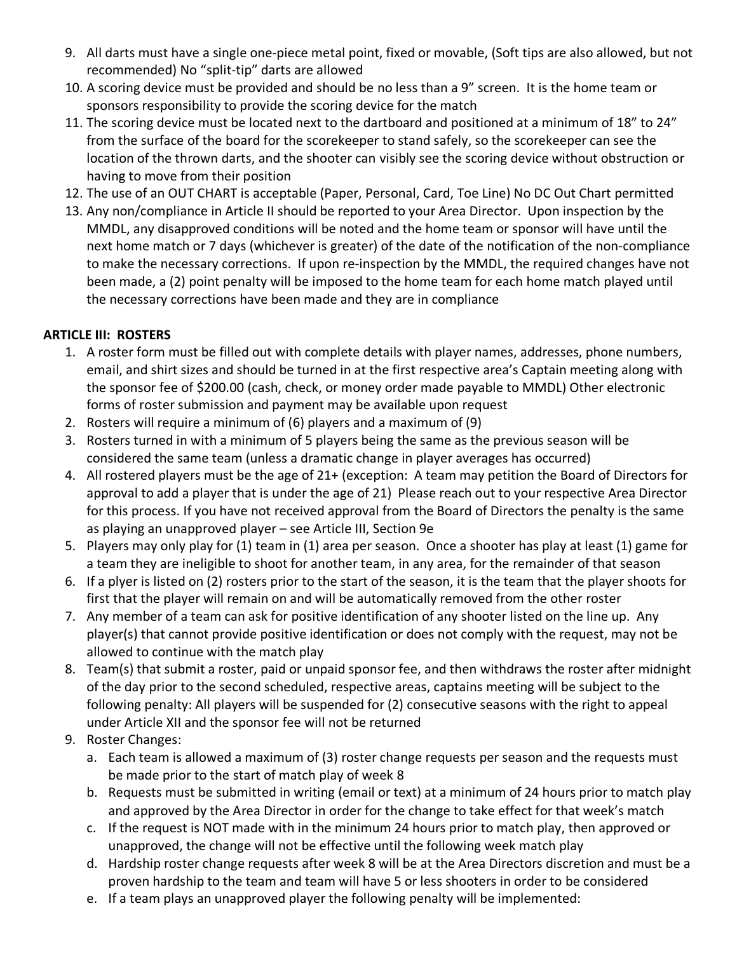- 9. All darts must have a single one-piece metal point, fixed or movable, (Soft tips are also allowed, but not recommended) No "split-tip" darts are allowed
- 10. A scoring device must be provided and should be no less than a 9" screen. It is the home team or sponsors responsibility to provide the scoring device for the match
- 11. The scoring device must be located next to the dartboard and positioned at a minimum of 18" to 24" from the surface of the board for the scorekeeper to stand safely, so the scorekeeper can see the location of the thrown darts, and the shooter can visibly see the scoring device without obstruction or having to move from their position
- 12. The use of an OUT CHART is acceptable (Paper, Personal, Card, Toe Line) No DC Out Chart permitted
- 13. Any non/compliance in Article II should be reported to your Area Director. Upon inspection by the MMDL, any disapproved conditions will be noted and the home team or sponsor will have until the next home match or 7 days (whichever is greater) of the date of the notification of the non-compliance to make the necessary corrections. If upon re-inspection by the MMDL, the required changes have not been made, a (2) point penalty will be imposed to the home team for each home match played until the necessary corrections have been made and they are in compliance

## **ARTICLE III: ROSTERS**

- 1. A roster form must be filled out with complete details with player names, addresses, phone numbers, email, and shirt sizes and should be turned in at the first respective area's Captain meeting along with the sponsor fee of \$200.00 (cash, check, or money order made payable to MMDL) Other electronic forms of roster submission and payment may be available upon request
- 2. Rosters will require a minimum of (6) players and a maximum of (9)
- 3. Rosters turned in with a minimum of 5 players being the same as the previous season will be considered the same team (unless a dramatic change in player averages has occurred)
- 4. All rostered players must be the age of 21+ (exception: A team may petition the Board of Directors for approval to add a player that is under the age of 21) Please reach out to your respective Area Director for this process. If you have not received approval from the Board of Directors the penalty is the same as playing an unapproved player – see Article III, Section 9e
- 5. Players may only play for (1) team in (1) area per season. Once a shooter has play at least (1) game for a team they are ineligible to shoot for another team, in any area, for the remainder of that season
- 6. If a plyer is listed on (2) rosters prior to the start of the season, it is the team that the player shoots for first that the player will remain on and will be automatically removed from the other roster
- 7. Any member of a team can ask for positive identification of any shooter listed on the line up. Any player(s) that cannot provide positive identification or does not comply with the request, may not be allowed to continue with the match play
- 8. Team(s) that submit a roster, paid or unpaid sponsor fee, and then withdraws the roster after midnight of the day prior to the second scheduled, respective areas, captains meeting will be subject to the following penalty: All players will be suspended for (2) consecutive seasons with the right to appeal under Article XII and the sponsor fee will not be returned
- 9. Roster Changes:
	- a. Each team is allowed a maximum of (3) roster change requests per season and the requests must be made prior to the start of match play of week 8
	- b. Requests must be submitted in writing (email or text) at a minimum of 24 hours prior to match play and approved by the Area Director in order for the change to take effect for that week's match
	- c. If the request is NOT made with in the minimum 24 hours prior to match play, then approved or unapproved, the change will not be effective until the following week match play
	- d. Hardship roster change requests after week 8 will be at the Area Directors discretion and must be a proven hardship to the team and team will have 5 or less shooters in order to be considered
	- e. If a team plays an unapproved player the following penalty will be implemented: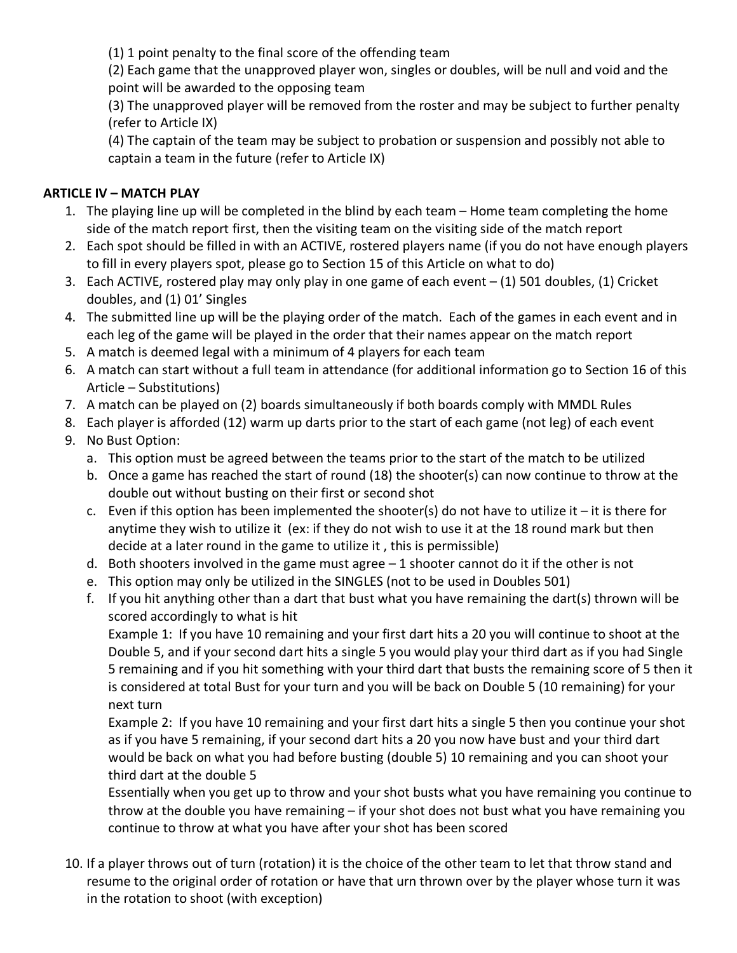(1) 1 point penalty to the final score of the offending team

(2) Each game that the unapproved player won, singles or doubles, will be null and void and the point will be awarded to the opposing team

(3) The unapproved player will be removed from the roster and may be subject to further penalty (refer to Article IX)

(4) The captain of the team may be subject to probation or suspension and possibly not able to captain a team in the future (refer to Article IX)

# **ARTICLE IV – MATCH PLAY**

- 1. The playing line up will be completed in the blind by each team Home team completing the home side of the match report first, then the visiting team on the visiting side of the match report
- 2. Each spot should be filled in with an ACTIVE, rostered players name (if you do not have enough players to fill in every players spot, please go to Section 15 of this Article on what to do)
- 3. Each ACTIVE, rostered play may only play in one game of each event (1) 501 doubles, (1) Cricket doubles, and (1) 01' Singles
- 4. The submitted line up will be the playing order of the match. Each of the games in each event and in each leg of the game will be played in the order that their names appear on the match report
- 5. A match is deemed legal with a minimum of 4 players for each team
- 6. A match can start without a full team in attendance (for additional information go to Section 16 of this Article – Substitutions)
- 7. A match can be played on (2) boards simultaneously if both boards comply with MMDL Rules
- 8. Each player is afforded (12) warm up darts prior to the start of each game (not leg) of each event
- 9. No Bust Option:
	- a. This option must be agreed between the teams prior to the start of the match to be utilized
	- b. Once a game has reached the start of round (18) the shooter(s) can now continue to throw at the double out without busting on their first or second shot
	- c. Even if this option has been implemented the shooter(s) do not have to utilize it  $-$  it is there for anytime they wish to utilize it (ex: if they do not wish to use it at the 18 round mark but then decide at a later round in the game to utilize it , this is permissible)
	- d. Both shooters involved in the game must agree  $-1$  shooter cannot do it if the other is not
	- e. This option may only be utilized in the SINGLES (not to be used in Doubles 501)
	- f. If you hit anything other than a dart that bust what you have remaining the dart(s) thrown will be scored accordingly to what is hit

Example 1: If you have 10 remaining and your first dart hits a 20 you will continue to shoot at the Double 5, and if your second dart hits a single 5 you would play your third dart as if you had Single 5 remaining and if you hit something with your third dart that busts the remaining score of 5 then it is considered at total Bust for your turn and you will be back on Double 5 (10 remaining) for your next turn

Example 2: If you have 10 remaining and your first dart hits a single 5 then you continue your shot as if you have 5 remaining, if your second dart hits a 20 you now have bust and your third dart would be back on what you had before busting (double 5) 10 remaining and you can shoot your third dart at the double 5

Essentially when you get up to throw and your shot busts what you have remaining you continue to throw at the double you have remaining – if your shot does not bust what you have remaining you continue to throw at what you have after your shot has been scored

10. If a player throws out of turn (rotation) it is the choice of the other team to let that throw stand and resume to the original order of rotation or have that urn thrown over by the player whose turn it was in the rotation to shoot (with exception)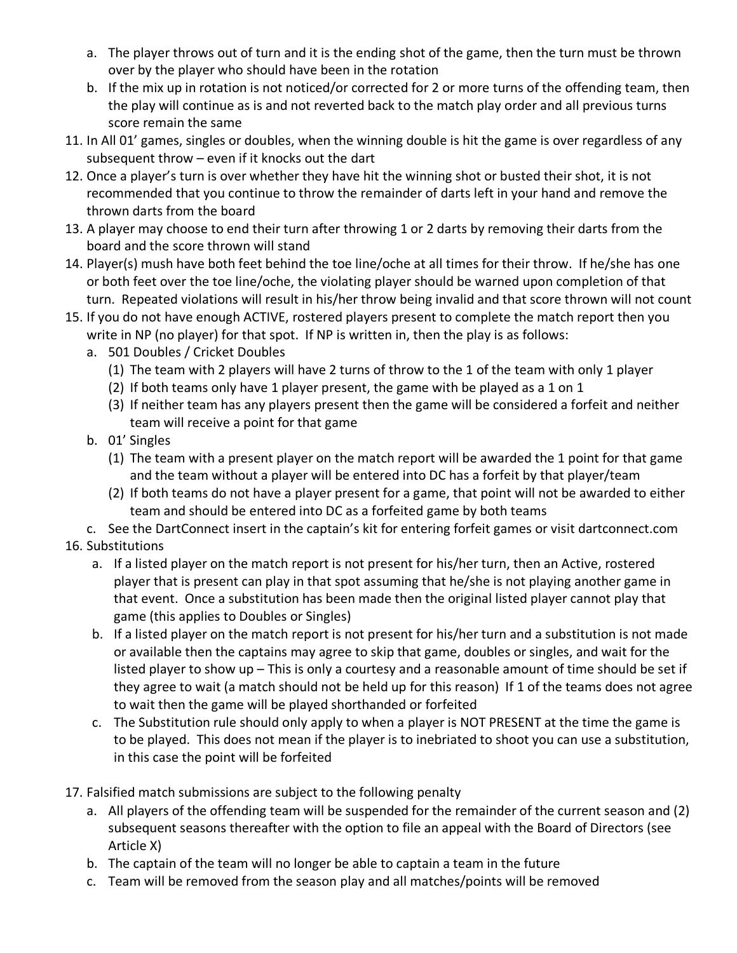- a. The player throws out of turn and it is the ending shot of the game, then the turn must be thrown over by the player who should have been in the rotation
- b. If the mix up in rotation is not noticed/or corrected for 2 or more turns of the offending team, then the play will continue as is and not reverted back to the match play order and all previous turns score remain the same
- 11. In All 01' games, singles or doubles, when the winning double is hit the game is over regardless of any subsequent throw – even if it knocks out the dart
- 12. Once a player's turn is over whether they have hit the winning shot or busted their shot, it is not recommended that you continue to throw the remainder of darts left in your hand and remove the thrown darts from the board
- 13. A player may choose to end their turn after throwing 1 or 2 darts by removing their darts from the board and the score thrown will stand
- 14. Player(s) mush have both feet behind the toe line/oche at all times for their throw. If he/she has one or both feet over the toe line/oche, the violating player should be warned upon completion of that turn. Repeated violations will result in his/her throw being invalid and that score thrown will not count
- 15. If you do not have enough ACTIVE, rostered players present to complete the match report then you write in NP (no player) for that spot. If NP is written in, then the play is as follows:
	- a. 501 Doubles / Cricket Doubles
		- (1) The team with 2 players will have 2 turns of throw to the 1 of the team with only 1 player
		- (2) If both teams only have 1 player present, the game with be played as a 1 on 1
		- (3) If neither team has any players present then the game will be considered a forfeit and neither team will receive a point for that game
	- b. 01' Singles
		- (1) The team with a present player on the match report will be awarded the 1 point for that game and the team without a player will be entered into DC has a forfeit by that player/team
		- (2) If both teams do not have a player present for a game, that point will not be awarded to either team and should be entered into DC as a forfeited game by both teams

c. See the DartConnect insert in the captain's kit for entering forfeit games or visit dartconnect.com 16. Substitutions

- a. If a listed player on the match report is not present for his/her turn, then an Active, rostered player that is present can play in that spot assuming that he/she is not playing another game in that event. Once a substitution has been made then the original listed player cannot play that game (this applies to Doubles or Singles)
- b. If a listed player on the match report is not present for his/her turn and a substitution is not made or available then the captains may agree to skip that game, doubles or singles, and wait for the listed player to show up – This is only a courtesy and a reasonable amount of time should be set if they agree to wait (a match should not be held up for this reason) If 1 of the teams does not agree to wait then the game will be played shorthanded or forfeited
- c. The Substitution rule should only apply to when a player is NOT PRESENT at the time the game is to be played. This does not mean if the player is to inebriated to shoot you can use a substitution, in this case the point will be forfeited
- 17. Falsified match submissions are subject to the following penalty
	- a. All players of the offending team will be suspended for the remainder of the current season and (2) subsequent seasons thereafter with the option to file an appeal with the Board of Directors (see Article X)
	- b. The captain of the team will no longer be able to captain a team in the future
	- c. Team will be removed from the season play and all matches/points will be removed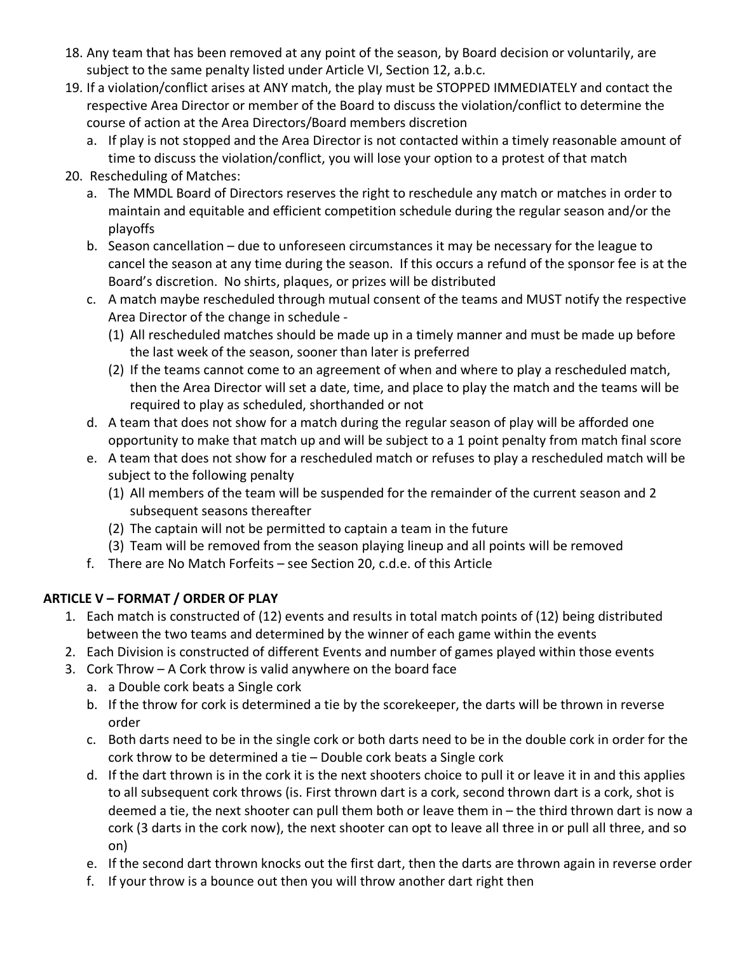- 18. Any team that has been removed at any point of the season, by Board decision or voluntarily, are subject to the same penalty listed under Article VI, Section 12, a.b.c.
- 19. If a violation/conflict arises at ANY match, the play must be STOPPED IMMEDIATELY and contact the respective Area Director or member of the Board to discuss the violation/conflict to determine the course of action at the Area Directors/Board members discretion
	- a. If play is not stopped and the Area Director is not contacted within a timely reasonable amount of time to discuss the violation/conflict, you will lose your option to a protest of that match
- 20. Rescheduling of Matches:
	- a. The MMDL Board of Directors reserves the right to reschedule any match or matches in order to maintain and equitable and efficient competition schedule during the regular season and/or the playoffs
	- b. Season cancellation due to unforeseen circumstances it may be necessary for the league to cancel the season at any time during the season. If this occurs a refund of the sponsor fee is at the Board's discretion. No shirts, plaques, or prizes will be distributed
	- c. A match maybe rescheduled through mutual consent of the teams and MUST notify the respective Area Director of the change in schedule -
		- (1) All rescheduled matches should be made up in a timely manner and must be made up before the last week of the season, sooner than later is preferred
		- (2) If the teams cannot come to an agreement of when and where to play a rescheduled match, then the Area Director will set a date, time, and place to play the match and the teams will be required to play as scheduled, shorthanded or not
	- d. A team that does not show for a match during the regular season of play will be afforded one opportunity to make that match up and will be subject to a 1 point penalty from match final score
	- e. A team that does not show for a rescheduled match or refuses to play a rescheduled match will be subject to the following penalty
		- (1) All members of the team will be suspended for the remainder of the current season and 2 subsequent seasons thereafter
		- (2) The captain will not be permitted to captain a team in the future
		- (3) Team will be removed from the season playing lineup and all points will be removed
	- f. There are No Match Forfeits see Section 20, c.d.e. of this Article

## **ARTICLE V – FORMAT / ORDER OF PLAY**

- 1. Each match is constructed of (12) events and results in total match points of (12) being distributed between the two teams and determined by the winner of each game within the events
- 2. Each Division is constructed of different Events and number of games played within those events
- 3. Cork Throw A Cork throw is valid anywhere on the board face
	- a. a Double cork beats a Single cork
	- b. If the throw for cork is determined a tie by the scorekeeper, the darts will be thrown in reverse order
	- c. Both darts need to be in the single cork or both darts need to be in the double cork in order for the cork throw to be determined a tie – Double cork beats a Single cork
	- d. If the dart thrown is in the cork it is the next shooters choice to pull it or leave it in and this applies to all subsequent cork throws (is. First thrown dart is a cork, second thrown dart is a cork, shot is deemed a tie, the next shooter can pull them both or leave them in – the third thrown dart is now a cork (3 darts in the cork now), the next shooter can opt to leave all three in or pull all three, and so on)
	- e. If the second dart thrown knocks out the first dart, then the darts are thrown again in reverse order
	- f. If your throw is a bounce out then you will throw another dart right then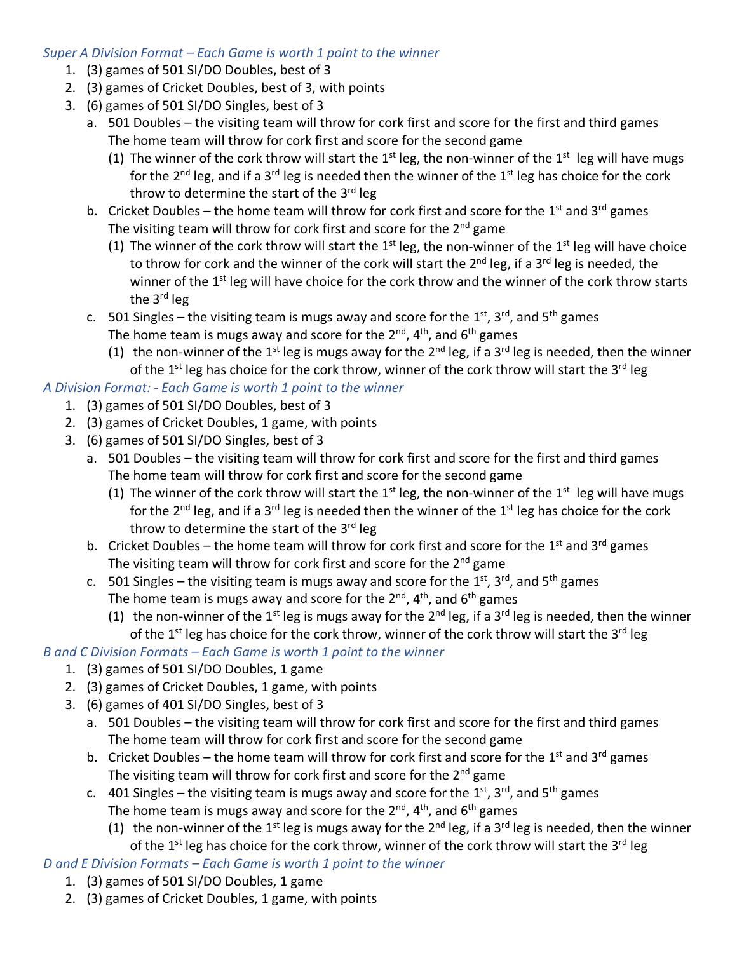## *Super A Division Format – Each Game is worth 1 point to the winner*

- 1. (3) games of 501 SI/DO Doubles, best of 3
- 2. (3) games of Cricket Doubles, best of 3, with points
- 3. (6) games of 501 SI/DO Singles, best of 3
	- a. 501 Doubles the visiting team will throw for cork first and score for the first and third games The home team will throw for cork first and score for the second game
		- (1) The winner of the cork throw will start the  $1<sup>st</sup>$  leg, the non-winner of the  $1<sup>st</sup>$  leg will have mugs for the  $2^{nd}$  leg, and if a  $3^{rd}$  leg is needed then the winner of the  $1^{st}$  leg has choice for the cork throw to determine the start of the  $3<sup>rd</sup>$  leg
	- b. Cricket Doubles the home team will throw for cork first and score for the  $1<sup>st</sup>$  and  $3<sup>rd</sup>$  games The visiting team will throw for cork first and score for the 2<sup>nd</sup> game
		- (1) The winner of the cork throw will start the  $1<sup>st</sup>$  leg, the non-winner of the  $1<sup>st</sup>$  leg will have choice to throw for cork and the winner of the cork will start the 2<sup>nd</sup> leg, if a 3<sup>rd</sup> leg is needed, the winner of the 1<sup>st</sup> leg will have choice for the cork throw and the winner of the cork throw starts the 3<sup>rd</sup> leg
	- c. 501 Singles the visiting team is mugs away and score for the  $1^{st}$ ,  $3^{rd}$ , and  $5^{th}$  games The home team is mugs away and score for the  $2^{nd}$ ,  $4^{th}$ , and  $6^{th}$  games
		- (1) the non-winner of the 1<sup>st</sup> leg is mugs away for the 2<sup>nd</sup> leg, if a 3<sup>rd</sup> leg is needed, then the winner of the 1<sup>st</sup> leg has choice for the cork throw, winner of the cork throw will start the 3<sup>rd</sup> leg

## *A Division Format: - Each Game is worth 1 point to the winner*

- 1. (3) games of 501 SI/DO Doubles, best of 3
- 2. (3) games of Cricket Doubles, 1 game, with points
- 3. (6) games of 501 SI/DO Singles, best of 3
	- a. 501 Doubles the visiting team will throw for cork first and score for the first and third games The home team will throw for cork first and score for the second game
		- (1) The winner of the cork throw will start the  $1<sup>st</sup>$  leg, the non-winner of the  $1<sup>st</sup>$  leg will have mugs for the  $2^{nd}$  leg, and if a  $3^{rd}$  leg is needed then the winner of the  $1^{st}$  leg has choice for the cork throw to determine the start of the  $3<sup>rd</sup>$  leg
	- b. Cricket Doubles the home team will throw for cork first and score for the 1<sup>st</sup> and 3<sup>rd</sup> games The visiting team will throw for cork first and score for the  $2<sup>nd</sup>$  game
	- c. 501 Singles the visiting team is mugs away and score for the  $1^{st}$ ,  $3^{rd}$ , and  $5^{th}$  games The home team is mugs away and score for the  $2^{nd}$ ,  $4^{th}$ , and  $6^{th}$  games
		- (1) the non-winner of the 1<sup>st</sup> leg is mugs away for the 2<sup>nd</sup> leg, if a 3<sup>rd</sup> leg is needed, then the winner of the  $1^{st}$  leg has choice for the cork throw, winner of the cork throw will start the  $3^{rd}$  leg

## *B and C Division Formats – Each Game is worth 1 point to the winner*

- 1. (3) games of 501 SI/DO Doubles, 1 game
- 2. (3) games of Cricket Doubles, 1 game, with points
- 3. (6) games of 401 SI/DO Singles, best of 3
	- a. 501 Doubles the visiting team will throw for cork first and score for the first and third games The home team will throw for cork first and score for the second game
	- b. Cricket Doubles the home team will throw for cork first and score for the 1<sup>st</sup> and 3<sup>rd</sup> games The visiting team will throw for cork first and score for the 2<sup>nd</sup> game
	- c. 401 Singles the visiting team is mugs away and score for the  $1^{st}$ ,  $3^{rd}$ , and  $5^{th}$  games The home team is mugs away and score for the  $2^{nd}$ ,  $4^{th}$ , and  $6^{th}$  games
		- (1) the non-winner of the 1<sup>st</sup> leg is mugs away for the 2<sup>nd</sup> leg, if a 3<sup>rd</sup> leg is needed, then the winner of the 1<sup>st</sup> leg has choice for the cork throw, winner of the cork throw will start the 3<sup>rd</sup> leg

## *D and E Division Formats – Each Game is worth 1 point to the winner*

- 1. (3) games of 501 SI/DO Doubles, 1 game
- 2. (3) games of Cricket Doubles, 1 game, with points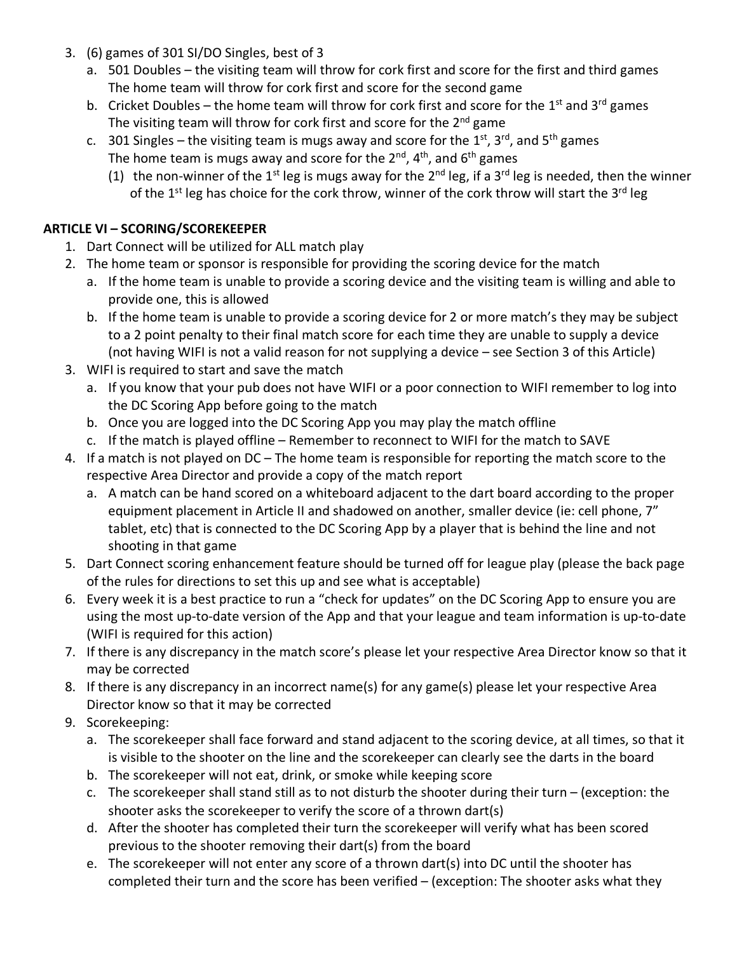- 3. (6) games of 301 SI/DO Singles, best of 3
	- a. 501 Doubles the visiting team will throw for cork first and score for the first and third games The home team will throw for cork first and score for the second game
	- b. Cricket Doubles the home team will throw for cork first and score for the 1<sup>st</sup> and 3<sup>rd</sup> games The visiting team will throw for cork first and score for the 2<sup>nd</sup> game
	- c. 301 Singles the visiting team is mugs away and score for the  $1<sup>st</sup>$ , 3<sup>rd</sup>, and 5<sup>th</sup> games The home team is mugs away and score for the  $2^{nd}$ ,  $4^{th}$ , and  $6^{th}$  games
		- (1) the non-winner of the 1<sup>st</sup> leg is mugs away for the 2<sup>nd</sup> leg, if a 3<sup>rd</sup> leg is needed, then the winner of the 1<sup>st</sup> leg has choice for the cork throw, winner of the cork throw will start the 3<sup>rd</sup> leg

# **ARTICLE VI – SCORING/SCOREKEEPER**

- 1. Dart Connect will be utilized for ALL match play
- 2. The home team or sponsor is responsible for providing the scoring device for the match
	- a. If the home team is unable to provide a scoring device and the visiting team is willing and able to provide one, this is allowed
	- b. If the home team is unable to provide a scoring device for 2 or more match's they may be subject to a 2 point penalty to their final match score for each time they are unable to supply a device (not having WIFI is not a valid reason for not supplying a device – see Section 3 of this Article)
- 3. WIFI is required to start and save the match
	- a. If you know that your pub does not have WIFI or a poor connection to WIFI remember to log into the DC Scoring App before going to the match
	- b. Once you are logged into the DC Scoring App you may play the match offline
	- c. If the match is played offline Remember to reconnect to WIFI for the match to SAVE
- 4. If a match is not played on DC The home team is responsible for reporting the match score to the respective Area Director and provide a copy of the match report
	- a. A match can be hand scored on a whiteboard adjacent to the dart board according to the proper equipment placement in Article II and shadowed on another, smaller device (ie: cell phone, 7" tablet, etc) that is connected to the DC Scoring App by a player that is behind the line and not shooting in that game
- 5. Dart Connect scoring enhancement feature should be turned off for league play (please the back page of the rules for directions to set this up and see what is acceptable)
- 6. Every week it is a best practice to run a "check for updates" on the DC Scoring App to ensure you are using the most up-to-date version of the App and that your league and team information is up-to-date (WIFI is required for this action)
- 7. If there is any discrepancy in the match score's please let your respective Area Director know so that it may be corrected
- 8. If there is any discrepancy in an incorrect name(s) for any game(s) please let your respective Area Director know so that it may be corrected
- 9. Scorekeeping:
	- a. The scorekeeper shall face forward and stand adjacent to the scoring device, at all times, so that it is visible to the shooter on the line and the scorekeeper can clearly see the darts in the board
	- b. The scorekeeper will not eat, drink, or smoke while keeping score
	- c. The scorekeeper shall stand still as to not disturb the shooter during their turn (exception: the shooter asks the scorekeeper to verify the score of a thrown dart(s)
	- d. After the shooter has completed their turn the scorekeeper will verify what has been scored previous to the shooter removing their dart(s) from the board
	- e. The scorekeeper will not enter any score of a thrown dart(s) into DC until the shooter has completed their turn and the score has been verified – (exception: The shooter asks what they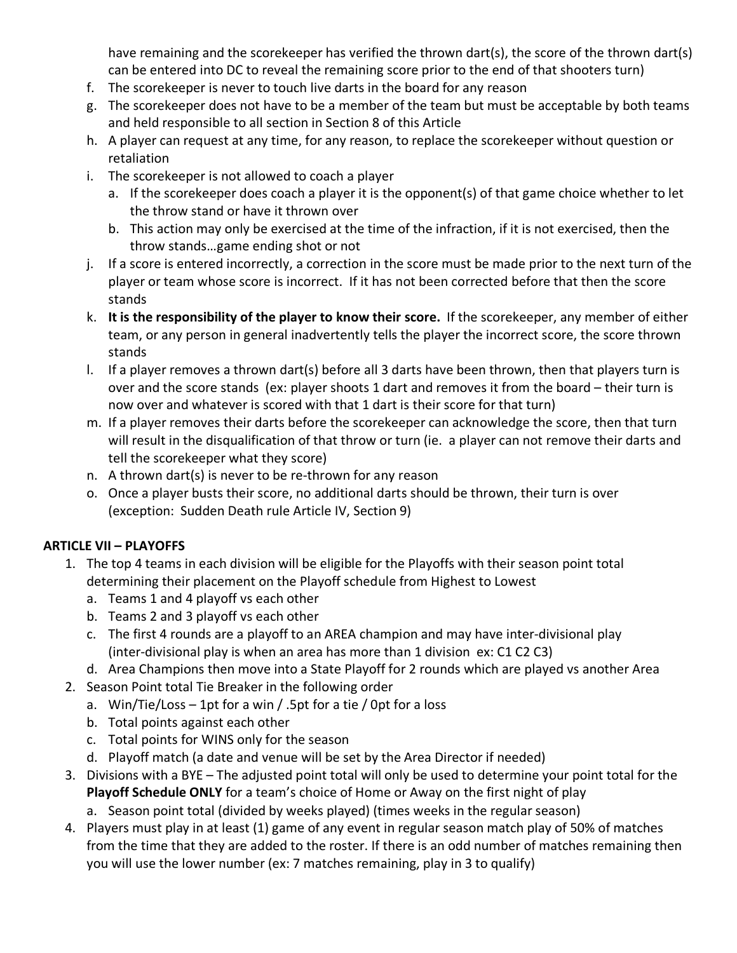have remaining and the scorekeeper has verified the thrown dart(s), the score of the thrown dart(s) can be entered into DC to reveal the remaining score prior to the end of that shooters turn)

- f. The scorekeeper is never to touch live darts in the board for any reason
- g. The scorekeeper does not have to be a member of the team but must be acceptable by both teams and held responsible to all section in Section 8 of this Article
- h. A player can request at any time, for any reason, to replace the scorekeeper without question or retaliation
- i. The scorekeeper is not allowed to coach a player
	- a. If the scorekeeper does coach a player it is the opponent(s) of that game choice whether to let the throw stand or have it thrown over
	- b. This action may only be exercised at the time of the infraction, if it is not exercised, then the throw stands…game ending shot or not
- j. If a score is entered incorrectly, a correction in the score must be made prior to the next turn of the player or team whose score is incorrect. If it has not been corrected before that then the score stands
- k. **It is the responsibility of the player to know their score.** If the scorekeeper, any member of either team, or any person in general inadvertently tells the player the incorrect score, the score thrown stands
- l. If a player removes a thrown dart(s) before all 3 darts have been thrown, then that players turn is over and the score stands (ex: player shoots 1 dart and removes it from the board – their turn is now over and whatever is scored with that 1 dart is their score for that turn)
- m. If a player removes their darts before the scorekeeper can acknowledge the score, then that turn will result in the disqualification of that throw or turn (ie. a player can not remove their darts and tell the scorekeeper what they score)
- n. A thrown dart(s) is never to be re-thrown for any reason
- o. Once a player busts their score, no additional darts should be thrown, their turn is over (exception: Sudden Death rule Article IV, Section 9)

## **ARTICLE VII – PLAYOFFS**

- 1. The top 4 teams in each division will be eligible for the Playoffs with their season point total determining their placement on the Playoff schedule from Highest to Lowest
	- a. Teams 1 and 4 playoff vs each other
	- b. Teams 2 and 3 playoff vs each other
	- c. The first 4 rounds are a playoff to an AREA champion and may have inter-divisional play (inter-divisional play is when an area has more than 1 division ex: C1 C2 C3)
	- d. Area Champions then move into a State Playoff for 2 rounds which are played vs another Area
- 2. Season Point total Tie Breaker in the following order
	- a. Win/Tie/Loss 1pt for a win / .5pt for a tie / 0pt for a loss
	- b. Total points against each other
	- c. Total points for WINS only for the season
	- d. Playoff match (a date and venue will be set by the Area Director if needed)
- 3. Divisions with a BYE The adjusted point total will only be used to determine your point total for the **Playoff Schedule ONLY** for a team's choice of Home or Away on the first night of play a. Season point total (divided by weeks played) (times weeks in the regular season)
- 4. Players must play in at least (1) game of any event in regular season match play of 50% of matches from the time that they are added to the roster. If there is an odd number of matches remaining then you will use the lower number (ex: 7 matches remaining, play in 3 to qualify)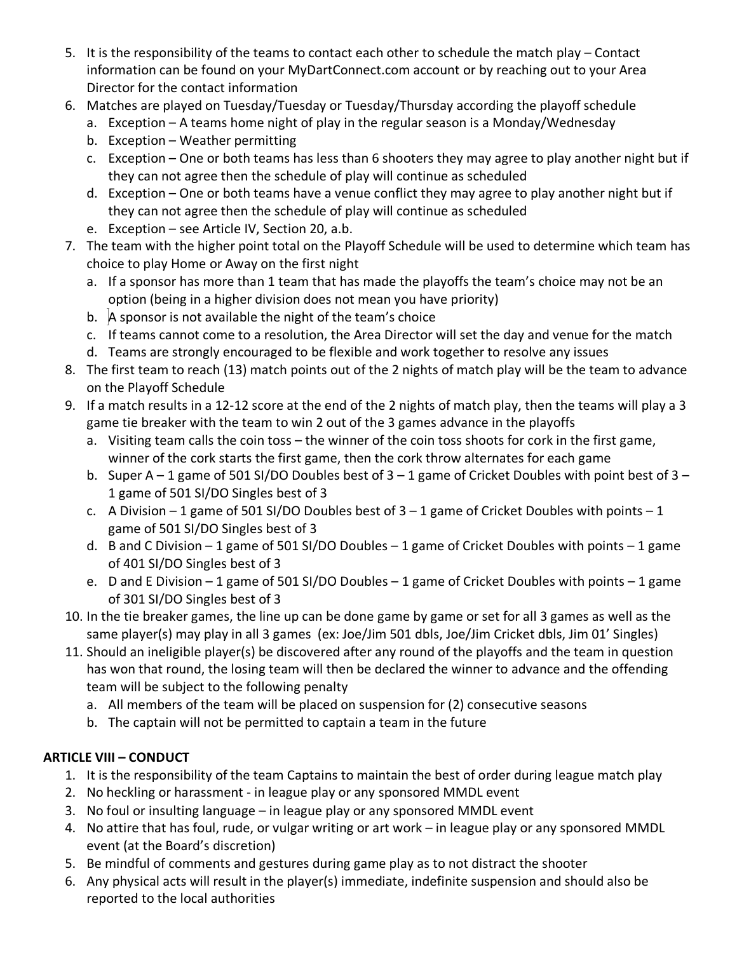- 5. It is the responsibility of the teams to contact each other to schedule the match play Contact information can be found on your MyDartConnect.com account or by reaching out to your Area Director for the contact information
- 6. Matches are played on Tuesday/Tuesday or Tuesday/Thursday according the playoff schedule
	- a. Exception A teams home night of play in the regular season is a Monday/Wednesday
	- b. Exception Weather permitting
	- c. Exception One or both teams has less than 6 shooters they may agree to play another night but if they can not agree then the schedule of play will continue as scheduled
	- d. Exception One or both teams have a venue conflict they may agree to play another night but if they can not agree then the schedule of play will continue as scheduled
	- e. Exception see Article IV, Section 20, a.b.
- 7. The team with the higher point total on the Playoff Schedule will be used to determine which team has choice to play Home or Away on the first night
	- a. If a sponsor has more than 1 team that has made the playoffs the team's choice may not be an option (being in a higher division does not mean you have priority)
	- b.  $\overline{A}$  sponsor is not available the night of the team's choice
	- c. If teams cannot come to a resolution, the Area Director will set the day and venue for the match
	- d. Teams are strongly encouraged to be flexible and work together to resolve any issues
- 8. The first team to reach (13) match points out of the 2 nights of match play will be the team to advance on the Playoff Schedule
- 9. If a match results in a 12-12 score at the end of the 2 nights of match play, then the teams will play a 3 game tie breaker with the team to win 2 out of the 3 games advance in the playoffs
	- a. Visiting team calls the coin toss the winner of the coin toss shoots for cork in the first game, winner of the cork starts the first game, then the cork throw alternates for each game
	- b. Super A 1 game of 501 SI/DO Doubles best of 3 1 game of Cricket Doubles with point best of 3 1 game of 501 SI/DO Singles best of 3
	- c. A Division 1 game of 501 SI/DO Doubles best of  $3 1$  game of Cricket Doubles with points 1 game of 501 SI/DO Singles best of 3
	- d. B and C Division 1 game of 501 SI/DO Doubles 1 game of Cricket Doubles with points 1 game of 401 SI/DO Singles best of 3
	- e. D and E Division 1 game of 501 SI/DO Doubles 1 game of Cricket Doubles with points 1 game of 301 SI/DO Singles best of 3
- 10. In the tie breaker games, the line up can be done game by game or set for all 3 games as well as the same player(s) may play in all 3 games (ex: Joe/Jim 501 dbls, Joe/Jim Cricket dbls, Jim 01' Singles)
- 11. Should an ineligible player(s) be discovered after any round of the playoffs and the team in question has won that round, the losing team will then be declared the winner to advance and the offending team will be subject to the following penalty
	- a. All members of the team will be placed on suspension for (2) consecutive seasons
	- b. The captain will not be permitted to captain a team in the future

# **ARTICLE VIII – CONDUCT**

- 1. It is the responsibility of the team Captains to maintain the best of order during league match play
- 2. No heckling or harassment in league play or any sponsored MMDL event
- 3. No foul or insulting language in league play or any sponsored MMDL event
- 4. No attire that has foul, rude, or vulgar writing or art work in league play or any sponsored MMDL event (at the Board's discretion)
- 5. Be mindful of comments and gestures during game play as to not distract the shooter
- 6. Any physical acts will result in the player(s) immediate, indefinite suspension and should also be reported to the local authorities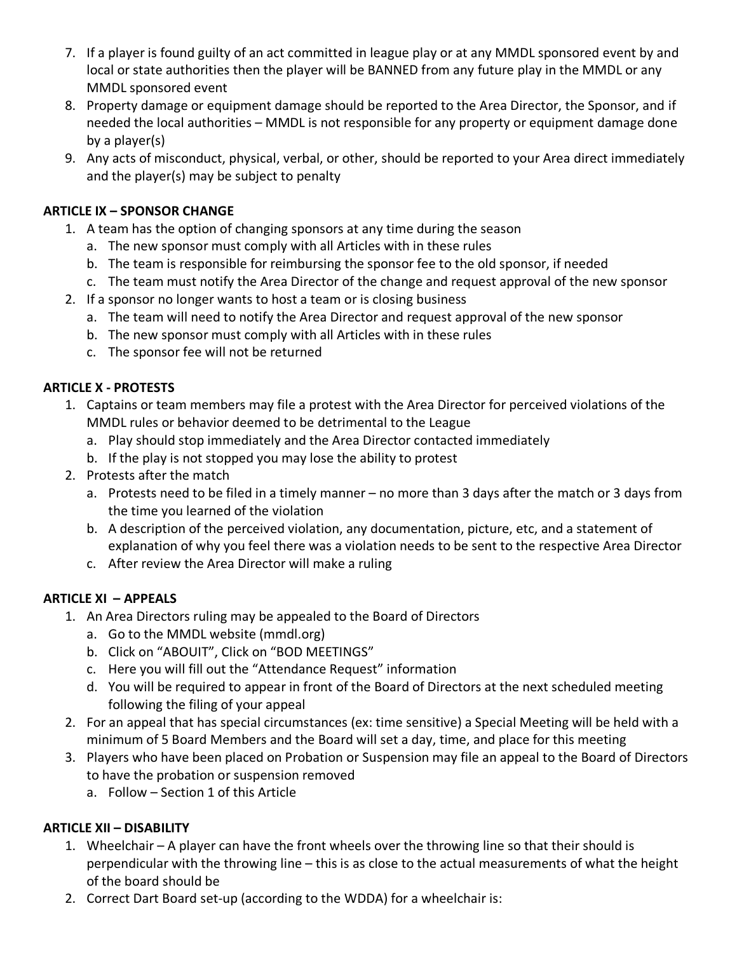- 7. If a player is found guilty of an act committed in league play or at any MMDL sponsored event by and local or state authorities then the player will be BANNED from any future play in the MMDL or any MMDL sponsored event
- 8. Property damage or equipment damage should be reported to the Area Director, the Sponsor, and if needed the local authorities – MMDL is not responsible for any property or equipment damage done by a player(s)
- 9. Any acts of misconduct, physical, verbal, or other, should be reported to your Area direct immediately and the player(s) may be subject to penalty

## **ARTICLE IX – SPONSOR CHANGE**

- 1. A team has the option of changing sponsors at any time during the season
	- a. The new sponsor must comply with all Articles with in these rules
	- b. The team is responsible for reimbursing the sponsor fee to the old sponsor, if needed
	- c. The team must notify the Area Director of the change and request approval of the new sponsor
- 2. If a sponsor no longer wants to host a team or is closing business
	- a. The team will need to notify the Area Director and request approval of the new sponsor
	- b. The new sponsor must comply with all Articles with in these rules
	- c. The sponsor fee will not be returned

## **ARTICLE X - PROTESTS**

- 1. Captains or team members may file a protest with the Area Director for perceived violations of the MMDL rules or behavior deemed to be detrimental to the League
	- a. Play should stop immediately and the Area Director contacted immediately
	- b. If the play is not stopped you may lose the ability to protest
- 2. Protests after the match
	- a. Protests need to be filed in a timely manner no more than 3 days after the match or 3 days from the time you learned of the violation
	- b. A description of the perceived violation, any documentation, picture, etc, and a statement of explanation of why you feel there was a violation needs to be sent to the respective Area Director
	- c. After review the Area Director will make a ruling

## **ARTICLE XI – APPEALS**

- 1. An Area Directors ruling may be appealed to the Board of Directors
	- a. Go to the MMDL website (mmdl.org)
	- b. Click on "ABOUIT", Click on "BOD MEETINGS"
	- c. Here you will fill out the "Attendance Request" information
	- d. You will be required to appear in front of the Board of Directors at the next scheduled meeting following the filing of your appeal
- 2. For an appeal that has special circumstances (ex: time sensitive) a Special Meeting will be held with a minimum of 5 Board Members and the Board will set a day, time, and place for this meeting
- 3. Players who have been placed on Probation or Suspension may file an appeal to the Board of Directors to have the probation or suspension removed
	- a. Follow Section 1 of this Article

## **ARTICLE XII – DISABILITY**

- 1. Wheelchair A player can have the front wheels over the throwing line so that their should is perpendicular with the throwing line – this is as close to the actual measurements of what the height of the board should be
- 2. Correct Dart Board set-up (according to the WDDA) for a wheelchair is: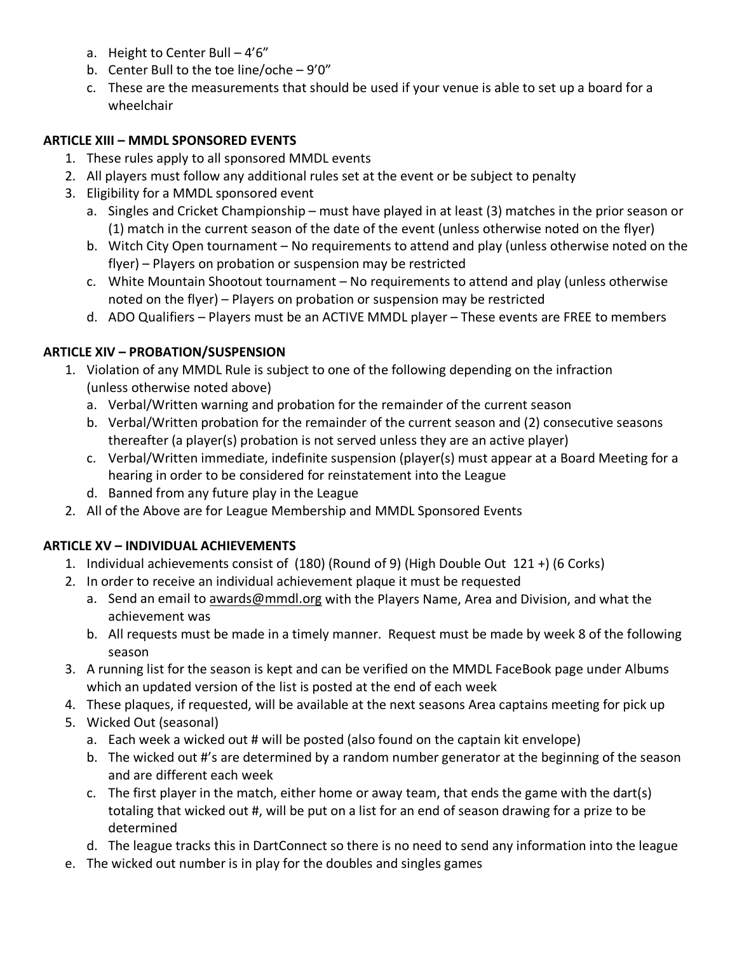- a. Height to Center Bull 4'6"
- b. Center Bull to the toe line/oche 9'0"
- c. These are the measurements that should be used if your venue is able to set up a board for a wheelchair

#### **ARTICLE XIII – MMDL SPONSORED EVENTS**

- 1. These rules apply to all sponsored MMDL events
- 2. All players must follow any additional rules set at the event or be subject to penalty
- 3. Eligibility for a MMDL sponsored event
	- a. Singles and Cricket Championship must have played in at least (3) matches in the prior season or (1) match in the current season of the date of the event (unless otherwise noted on the flyer)
	- b. Witch City Open tournament No requirements to attend and play (unless otherwise noted on the flyer) – Players on probation or suspension may be restricted
	- c. White Mountain Shootout tournament No requirements to attend and play (unless otherwise noted on the flyer) – Players on probation or suspension may be restricted
	- d. ADO Qualifiers Players must be an ACTIVE MMDL player These events are FREE to members

## **ARTICLE XIV – PROBATION/SUSPENSION**

- 1. Violation of any MMDL Rule is subject to one of the following depending on the infraction (unless otherwise noted above)
	- a. Verbal/Written warning and probation for the remainder of the current season
	- b. Verbal/Written probation for the remainder of the current season and (2) consecutive seasons thereafter (a player(s) probation is not served unless they are an active player)
	- c. Verbal/Written immediate, indefinite suspension (player(s) must appear at a Board Meeting for a hearing in order to be considered for reinstatement into the League
	- d. Banned from any future play in the League
- 2. All of the Above are for League Membership and MMDL Sponsored Events

## **ARTICLE XV – INDIVIDUAL ACHIEVEMENTS**

- 1. Individual achievements consist of (180) (Round of 9) (High Double Out 121 +) (6 Corks)
- 2. In order to receive an individual achievement plaque it must be requested
	- a. Send an email to [awards@mmdl.org](mailto:awards@mmdl.org) with the Players Name, Area and Division, and what the achievement was
	- b. All requests must be made in a timely manner. Request must be made by week 8 of the following season
- 3. A running list for the season is kept and can be verified on the MMDL FaceBook page under Albums which an updated version of the list is posted at the end of each week
- 4. These plaques, if requested, will be available at the next seasons Area captains meeting for pick up
- 5. Wicked Out (seasonal)
	- a. Each week a wicked out # will be posted (also found on the captain kit envelope)
	- b. The wicked out #'s are determined by a random number generator at the beginning of the season and are different each week
	- c. The first player in the match, either home or away team, that ends the game with the dart(s) totaling that wicked out #, will be put on a list for an end of season drawing for a prize to be determined
	- d. The league tracks this in DartConnect so there is no need to send any information into the league
- e. The wicked out number is in play for the doubles and singles games